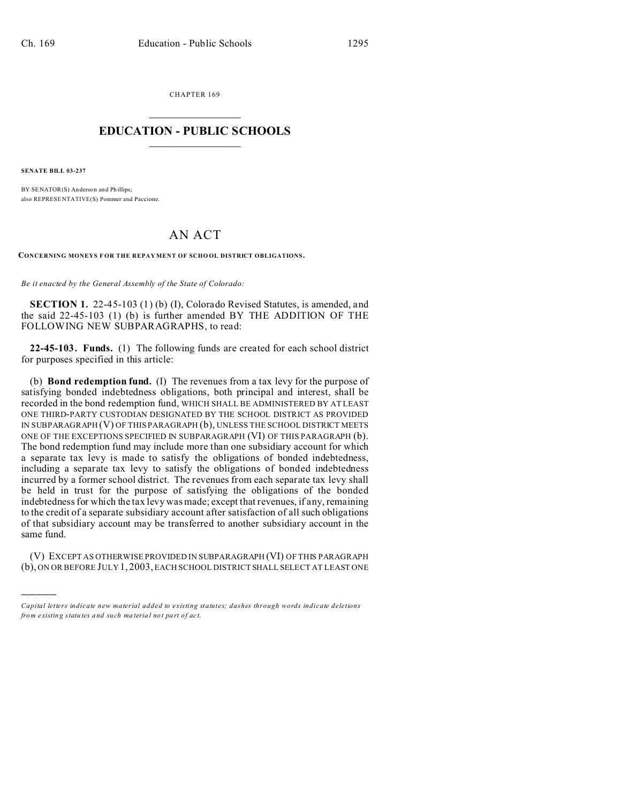CHAPTER 169  $\overline{\phantom{a}}$  , where  $\overline{\phantom{a}}$ 

## **EDUCATION - PUBLIC SCHOOLS**  $\_$   $\_$   $\_$   $\_$   $\_$   $\_$   $\_$   $\_$   $\_$

**SENATE BILL 03-237**

)))))

BY SENATOR(S) Anderson and Phillips; also REPRESE NTATIVE(S) Pommer and Paccione.

## AN ACT

**CONCERNING MONEYS F OR THE REPAY MENT OF SCHO OL DISTRICT OBLIGATIONS.**

*Be it enacted by the General Assembly of the State of Colorado:*

**SECTION 1.** 22-45-103 (1) (b) (I), Colorado Revised Statutes, is amended, and the said 22-45-103 (1) (b) is further amended BY THE ADDITION OF THE FOLLOWING NEW SUBPARAGRAPHS, to read:

**22-45-103. Funds.** (1) The following funds are created for each school district for purposes specified in this article:

(b) **Bond redemption fund.** (I) The revenues from a tax levy for the purpose of satisfying bonded indebtedness obligations, both principal and interest, shall be recorded in the bond redemption fund, WHICH SHALL BE ADMINISTERED BY AT LEAST ONE THIRD-PARTY CUSTODIAN DESIGNATED BY THE SCHOOL DISTRICT AS PROVIDED IN SUBPARAGRAPH (V) OF THIS PARAGRAPH (b), UNLESS THE SCHOOL DISTRICT MEETS ONE OF THE EXCEPTIONS SPECIFIED IN SUBPARAGRAPH (VI) OF THIS PARAGRAPH (b). The bond redemption fund may include more than one subsidiary account for which a separate tax levy is made to satisfy the obligations of bonded indebtedness, including a separate tax levy to satisfy the obligations of bonded indebtedness incurred by a former school district. The revenues from each separate tax levy shall be held in trust for the purpose of satisfying the obligations of the bonded indebtedness for which the tax levy was made; except that revenues, if any, remaining to the credit of a separate subsidiary account after satisfaction of all such obligations of that subsidiary account may be transferred to another subsidiary account in the same fund.

(V) EXCEPT AS OTHERWISE PROVIDED IN SUBPARAGRAPH (VI) OF THIS PARAGRAPH (b), ON OR BEFORE JULY 1, 2003, EACH SCHOOL DISTRICT SHALL SELECT AT LEAST ONE

*Capital letters indicate new material added to existing statutes; dashes through words indicate deletions from e xistin g statu tes a nd such ma teria l no t pa rt of ac t.*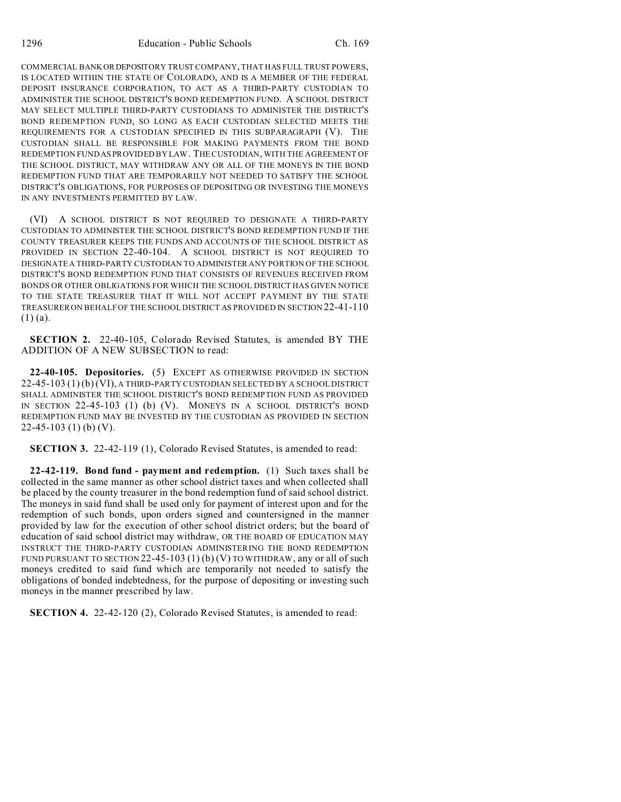COMMERCIAL BANK OR DEPOSITORY TRUST COMPANY, THAT HAS FULL TRUST POWERS, IS LOCATED WITHIN THE STATE OF COLORADO, AND IS A MEMBER OF THE FEDERAL DEPOSIT INSURANCE CORPORATION, TO ACT AS A THIRD-PARTY CUSTODIAN TO ADMINISTER THE SCHOOL DISTRICT'S BOND REDEMPTION FUND. A SCHOOL DISTRICT MAY SELECT MULTIPLE THIRD-PARTY CUSTODIANS TO ADMINISTER THE DISTRICT'S BOND REDEMPTION FUND, SO LONG AS EACH CUSTODIAN SELECTED MEETS THE REQUIREMENTS FOR A CUSTODIAN SPECIFIED IN THIS SUBPARAGRAPH (V). THE CUSTODIAN SHALL BE RESPONSIBLE FOR MAKING PAYMENTS FROM THE BOND REDEMPTION FUND AS PROVIDED BY LAW. THE CUSTODIAN, WITH THE AGREEMENT OF THE SCHOOL DISTRICT, MAY WITHDRAW ANY OR ALL OF THE MONEYS IN THE BOND REDEMPTION FUND THAT ARE TEMPORARILY NOT NEEDED TO SATISFY THE SCHOOL DISTRICT'S OBLIGATIONS, FOR PURPOSES OF DEPOSITING OR INVESTING THE MONEYS IN ANY INVESTMENTS PERMITTED BY LAW.

(VI) A SCHOOL DISTRICT IS NOT REQUIRED TO DESIGNATE A THIRD-PARTY CUSTODIAN TO ADMINISTER THE SCHOOL DISTRICT'S BOND REDEMPTION FUND IF THE COUNTY TREASURER KEEPS THE FUNDS AND ACCOUNTS OF THE SCHOOL DISTRICT AS PROVIDED IN SECTION 22-40-104. A SCHOOL DISTRICT IS NOT REQUIRED TO DESIGNATE A THIRD-PARTY CUSTODIAN TO ADMINISTER ANY PORTION OF THE SCHOOL DISTRICT'S BOND REDEMPTION FUND THAT CONSISTS OF REVENUES RECEIVED FROM BONDS OR OTHER OBLIGATIONS FOR WHICH THE SCHOOL DISTRICT HAS GIVEN NOTICE TO THE STATE TREASURER THAT IT WILL NOT ACCEPT PAYMENT BY THE STATE TREASURER ON BEHALF OF THE SCHOOL DISTRICT AS PROVIDED IN SECTION 22-41-110  $(1)$  (a).

**SECTION 2.** 22-40-105, Colorado Revised Statutes, is amended BY THE ADDITION OF A NEW SUBSECTION to read:

**22-40-105. Depositories.** (5) EXCEPT AS OTHERWISE PROVIDED IN SECTION 22-45-103 (1) (b) (VI), A THIRD-PARTY CUSTODIAN SELECTED BY A SCHOOL DISTRICT SHALL ADMINISTER THE SCHOOL DISTRICT'S BOND REDEMPTION FUND AS PROVIDED IN SECTION 22-45-103 (1) (b) (V). MONEYS IN A SCHOOL DISTRICT'S BOND REDEMPTION FUND MAY BE INVESTED BY THE CUSTODIAN AS PROVIDED IN SECTION 22-45-103 (1) (b) (V).

**SECTION 3.** 22-42-119 (1), Colorado Revised Statutes, is amended to read:

**22-42-119. Bond fund - payment and redemption.** (1) Such taxes shall be collected in the same manner as other school district taxes and when collected shall be placed by the county treasurer in the bond redemption fund of said school district. The moneys in said fund shall be used only for payment of interest upon and for the redemption of such bonds, upon orders signed and countersigned in the manner provided by law for the execution of other school district orders; but the board of education of said school district may withdraw, OR THE BOARD OF EDUCATION MAY INSTRUCT THE THIRD-PARTY CUSTODIAN ADMINISTERING THE BOND REDEMPTION FUND PURSUANT TO SECTION  $22-45-103(1)$  (b) (V) TO WITHDRAW, any or all of such moneys credited to said fund which are temporarily not needed to satisfy the obligations of bonded indebtedness, for the purpose of depositing or investing such moneys in the manner prescribed by law.

**SECTION 4.** 22-42-120 (2), Colorado Revised Statutes, is amended to read: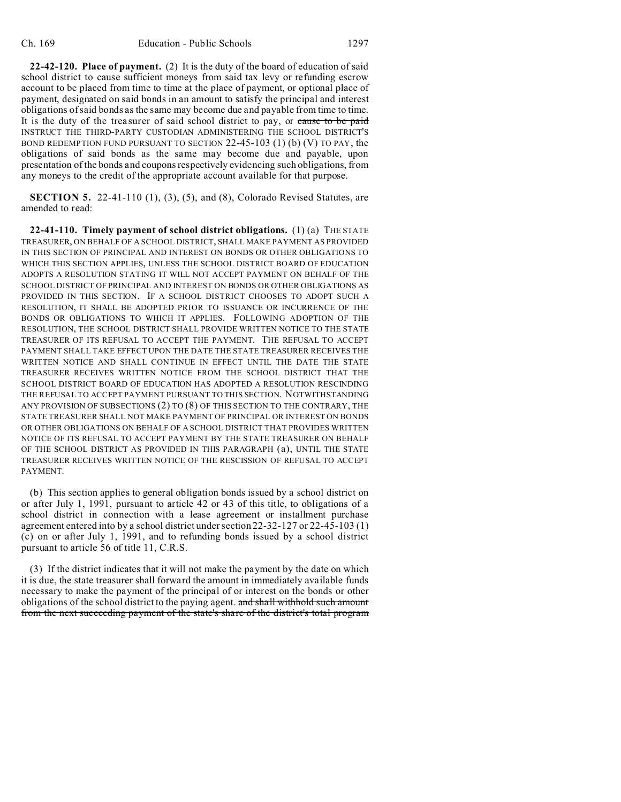**22-42-120. Place of payment.** (2) It is the duty of the board of education of said school district to cause sufficient moneys from said tax levy or refunding escrow account to be placed from time to time at the place of payment, or optional place of payment, designated on said bonds in an amount to satisfy the principal and interest obligations of said bonds as the same may become due and payable from time to time. It is the duty of the treasurer of said school district to pay, or cause to be paid INSTRUCT THE THIRD-PARTY CUSTODIAN ADMINISTERING THE SCHOOL DISTRICT'S BOND REDEMPTION FUND PURSUANT TO SECTION  $22-45-103$  (1) (b) (V) TO PAY, the obligations of said bonds as the same may become due and payable, upon presentation of the bonds and coupons respectively evidencing such obligations, from any moneys to the credit of the appropriate account available for that purpose.

**SECTION 5.** 22-41-110 (1), (3), (5), and (8), Colorado Revised Statutes, are amended to read:

**22-41-110. Timely payment of school district obligations.** (1) (a) THE STATE TREASURER, ON BEHALF OF A SCHOOL DISTRICT, SHALL MAKE PAYMENT AS PROVIDED IN THIS SECTION OF PRINCIPAL AND INTEREST ON BONDS OR OTHER OBLIGATIONS TO WHICH THIS SECTION APPLIES, UNLESS THE SCHOOL DISTRICT BOARD OF EDUCATION ADOPTS A RESOLUTION STATING IT WILL NOT ACCEPT PAYMENT ON BEHALF OF THE SCHOOL DISTRICT OF PRINCIPAL AND INTEREST ON BONDS OR OTHER OBLIGATIONS AS PROVIDED IN THIS SECTION. IF A SCHOOL DISTRICT CHOOSES TO ADOPT SUCH A RESOLUTION, IT SHALL BE ADOPTED PRIOR TO ISSUANCE OR INCURRENCE OF THE BONDS OR OBLIGATIONS TO WHICH IT APPLIES. FOLLOWING ADOPTION OF THE RESOLUTION, THE SCHOOL DISTRICT SHALL PROVIDE WRITTEN NOTICE TO THE STATE TREASURER OF ITS REFUSAL TO ACCEPT THE PAYMENT. THE REFUSAL TO ACCEPT PAYMENT SHALL TAKE EFFECT UPON THE DATE THE STATE TREASURER RECEIVES THE WRITTEN NOTICE AND SHALL CONTINUE IN EFFECT UNTIL THE DATE THE STATE TREASURER RECEIVES WRITTEN NOTICE FROM THE SCHOOL DISTRICT THAT THE SCHOOL DISTRICT BOARD OF EDUCATION HAS ADOPTED A RESOLUTION RESCINDING THE REFUSAL TO ACCEPT PAYMENT PURSUANT TO THIS SECTION. NOTWITHSTANDING ANY PROVISION OF SUBSECTIONS (2) TO (8) OF THIS SECTION TO THE CONTRARY, THE STATE TREASURER SHALL NOT MAKE PAYMENT OF PRINCIPAL OR INTEREST ON BONDS OR OTHER OBLIGATIONS ON BEHALF OF A SCHOOL DISTRICT THAT PROVIDES WRITTEN NOTICE OF ITS REFUSAL TO ACCEPT PAYMENT BY THE STATE TREASURER ON BEHALF OF THE SCHOOL DISTRICT AS PROVIDED IN THIS PARAGRAPH (a), UNTIL THE STATE TREASURER RECEIVES WRITTEN NOTICE OF THE RESCISSION OF REFUSAL TO ACCEPT PAYMENT.

(b) This section applies to general obligation bonds issued by a school district on or after July 1, 1991, pursuant to article 42 or 43 of this title, to obligations of a school district in connection with a lease agreement or installment purchase agreement entered into by a school district under section 22-32-127 or 22-45-103 (1) (c) on or after July 1, 1991, and to refunding bonds issued by a school district pursuant to article 56 of title 11, C.R.S.

(3) If the district indicates that it will not make the payment by the date on which it is due, the state treasurer shall forward the amount in immediately available funds necessary to make the payment of the principal of or interest on the bonds or other obligations of the school district to the paying agent. and shall withhold such amount from the next succeeding payment of the state's share of the district's total program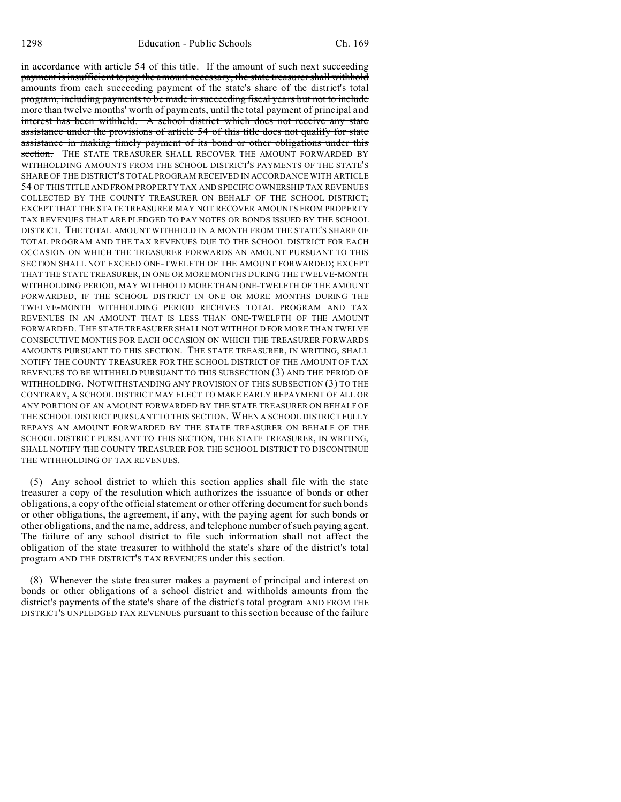in accordance with article 54 of this title. If the amount of such next succeeding payment is insufficient to pay the amount necessary, the state treasurer shall withhold amounts from each succeeding payment of the state's share of the district's total program, including payments to be made in succeeding fiscal years but not to include more than twelve months' worth of payments, until the total payment of principal and interest has been withheld. A school district which does not receive any state assistance under the provisions of article 54 of this title does not qualify for state assistance in making timely payment of its bond or other obligations under this section. THE STATE TREASURER SHALL RECOVER THE AMOUNT FORWARDED BY WITHHOLDING AMOUNTS FROM THE SCHOOL DISTRICT'S PAYMENTS OF THE STATE'S SHARE OF THE DISTRICT'S TOTAL PROGRAM RECEIVED IN ACCORDANCE WITH ARTICLE 54 OF THIS TITLE AND FROM PROPERTY TAX AND SPECIFIC OWNERSHIP TAX REVENUES COLLECTED BY THE COUNTY TREASURER ON BEHALF OF THE SCHOOL DISTRICT; EXCEPT THAT THE STATE TREASURER MAY NOT RECOVER AMOUNTS FROM PROPERTY TAX REVENUES THAT ARE PLEDGED TO PAY NOTES OR BONDS ISSUED BY THE SCHOOL DISTRICT. THE TOTAL AMOUNT WITHHELD IN A MONTH FROM THE STATE'S SHARE OF TOTAL PROGRAM AND THE TAX REVENUES DUE TO THE SCHOOL DISTRICT FOR EACH OCCASION ON WHICH THE TREASURER FORWARDS AN AMOUNT PURSUANT TO THIS SECTION SHALL NOT EXCEED ONE-TWELFTH OF THE AMOUNT FORWARDED; EXCEPT THAT THE STATE TREASURER, IN ONE OR MORE MONTHS DURING THE TWELVE-MONTH WITHHOLDING PERIOD, MAY WITHHOLD MORE THAN ONE-TWELFTH OF THE AMOUNT FORWARDED, IF THE SCHOOL DISTRICT IN ONE OR MORE MONTHS DURING THE TWELVE-MONTH WITHHOLDING PERIOD RECEIVES TOTAL PROGRAM AND TAX REVENUES IN AN AMOUNT THAT IS LESS THAN ONE-TWELFTH OF THE AMOUNT FORWARDED. THE STATE TREASURER SHALL NOT WITHHOLD FOR MORE THAN TWELVE CONSECUTIVE MONTHS FOR EACH OCCASION ON WHICH THE TREASURER FORWARDS AMOUNTS PURSUANT TO THIS SECTION. THE STATE TREASURER, IN WRITING, SHALL NOTIFY THE COUNTY TREASURER FOR THE SCHOOL DISTRICT OF THE AMOUNT OF TAX REVENUES TO BE WITHHELD PURSUANT TO THIS SUBSECTION (3) AND THE PERIOD OF WITHHOLDING. NOTWITHSTANDING ANY PROVISION OF THIS SUBSECTION (3) TO THE CONTRARY, A SCHOOL DISTRICT MAY ELECT TO MAKE EARLY REPAYMENT OF ALL OR ANY PORTION OF AN AMOUNT FORWARDED BY THE STATE TREASURER ON BEHALF OF THE SCHOOL DISTRICT PURSUANT TO THIS SECTION. WHEN A SCHOOL DISTRICT FULLY REPAYS AN AMOUNT FORWARDED BY THE STATE TREASURER ON BEHALF OF THE SCHOOL DISTRICT PURSUANT TO THIS SECTION, THE STATE TREASURER, IN WRITING, SHALL NOTIFY THE COUNTY TREASURER FOR THE SCHOOL DISTRICT TO DISCONTINUE THE WITHHOLDING OF TAX REVENUES.

(5) Any school district to which this section applies shall file with the state treasurer a copy of the resolution which authorizes the issuance of bonds or other obligations, a copy of the official statement or other offering document for such bonds or other obligations, the agreement, if any, with the paying agent for such bonds or other obligations, and the name, address, and telephone number of such paying agent. The failure of any school district to file such information shall not affect the obligation of the state treasurer to withhold the state's share of the district's total program AND THE DISTRICT'S TAX REVENUES under this section.

(8) Whenever the state treasurer makes a payment of principal and interest on bonds or other obligations of a school district and withholds amounts from the district's payments of the state's share of the district's total program AND FROM THE DISTRICT'S UNPLEDGED TAX REVENUES pursuant to this section because of the failure